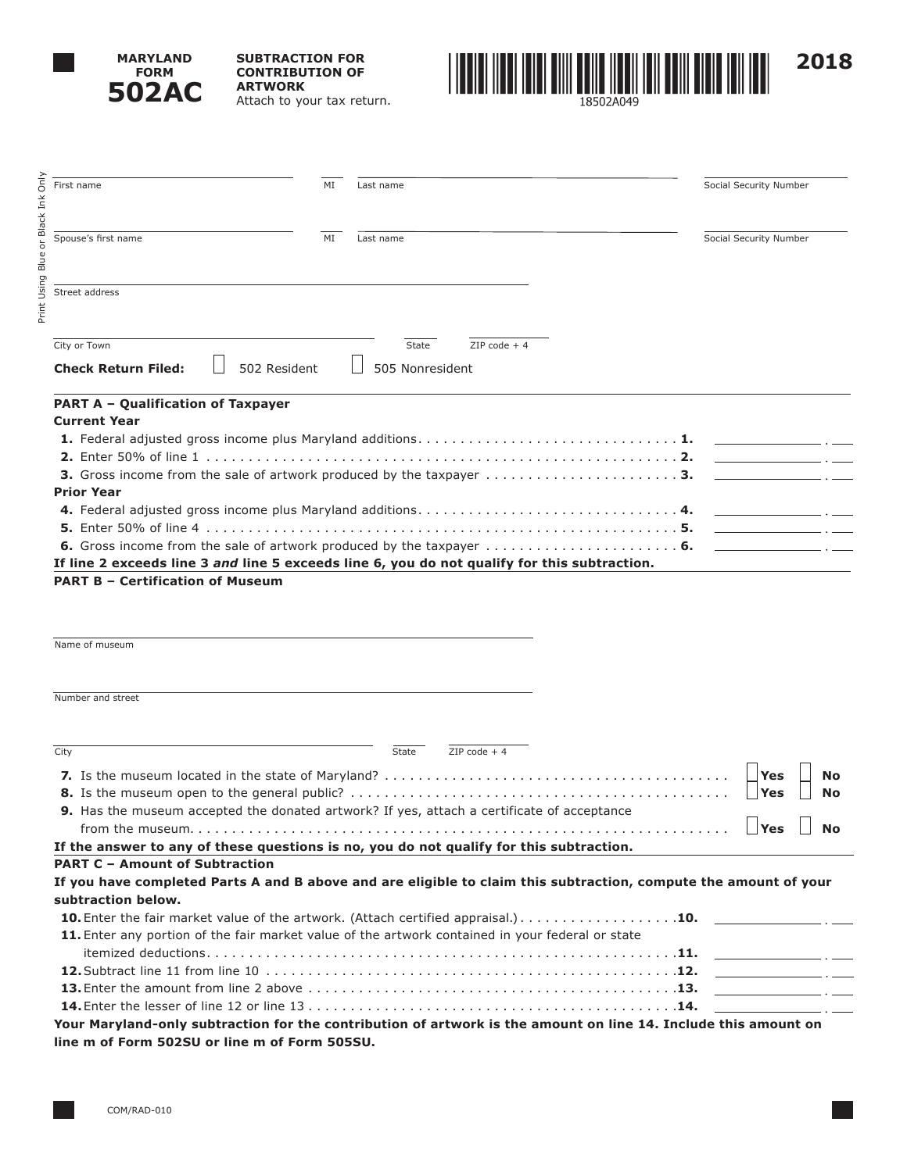

Print Using Blue or Black Ink Only

Print Using Blue or Black

Only Ink **SUBTRACTION FOR CONTRIBUTION OF ARTWORK** Attach to your tax return.



**PART A – Qualification of Taxpayer Current Year 1.** Federal adjusted gross income plus Maryland additions . . . . . . . . . . . . . . . . . . . . . . . . . . . . . . **1. 2.** Enter 50% of line 1 . . . . . . . . . . . . . . . . . . . . . . . . . . . . . . . . . . . . . . . . . . . . . . . . . . . . . . . **2. 3.** Gross income from the sale of artwork produced by the taxpayer . . . . . . . . . . . . . . . . . . . . . . **3. Prior Year 4.** Federal adjusted gross income plus Maryland additions . . . . . . . . . . . . . . . . . . . . . . . . . . . . . . **4. 5.** Enter 50% of line 4 . . . . . . . . . . . . . . . . . . . . . . . . . . . . . . . . . . . . . . . . . . . . . . . . . . . . . . . **5. 6.** Gross income from the sale of artwork produced by the taxpayer . . . . . . . . . . . . . . . . . . . . . . **6. If line 2 exceeds line 3** *and* **line 5 exceeds line 6, you do not qualify for this subtraction. PART B – Certification of Museum** Name of museum Number and street **Check Return Filed:**  $\Box$  502 Resident  $\Box$  505 Nonresident First name Social Security Number Spouse's first name **MI** Last name MI Last name Social Security Number Street address  $\overline{\text{City or Town}}$   $\overline{\text{2IP code + 4}}$ 

| City                                                                                                             | State | $7IP$ code $+4$ |           |
|------------------------------------------------------------------------------------------------------------------|-------|-----------------|-----------|
|                                                                                                                  |       |                 |           |
| 9. Has the museum accepted the donated artwork? If yes, attach a certificate of acceptance                       |       |                 |           |
|                                                                                                                  |       |                 | <b>No</b> |
| If the answer to any of these questions is no, you do not qualify for this subtraction.                          |       |                 |           |
| <b>PART C - Amount of Subtraction</b>                                                                            |       |                 |           |
| If you have completed Parts A and B above and are eligible to claim this subtraction, compute the amount of your |       |                 |           |
| subtraction below.                                                                                               |       |                 |           |
|                                                                                                                  |       |                 |           |
| 11. Enter any portion of the fair market value of the artwork contained in your federal or state                 |       |                 |           |
|                                                                                                                  |       |                 |           |
|                                                                                                                  |       |                 |           |
|                                                                                                                  |       |                 |           |
|                                                                                                                  |       |                 |           |
| Your Maryland-only subtraction for the contribution of artwork is the amount on line 14. Include this amount on  |       |                 |           |
| line m of Form 502SU or line m of Form 505SU.                                                                    |       |                 |           |